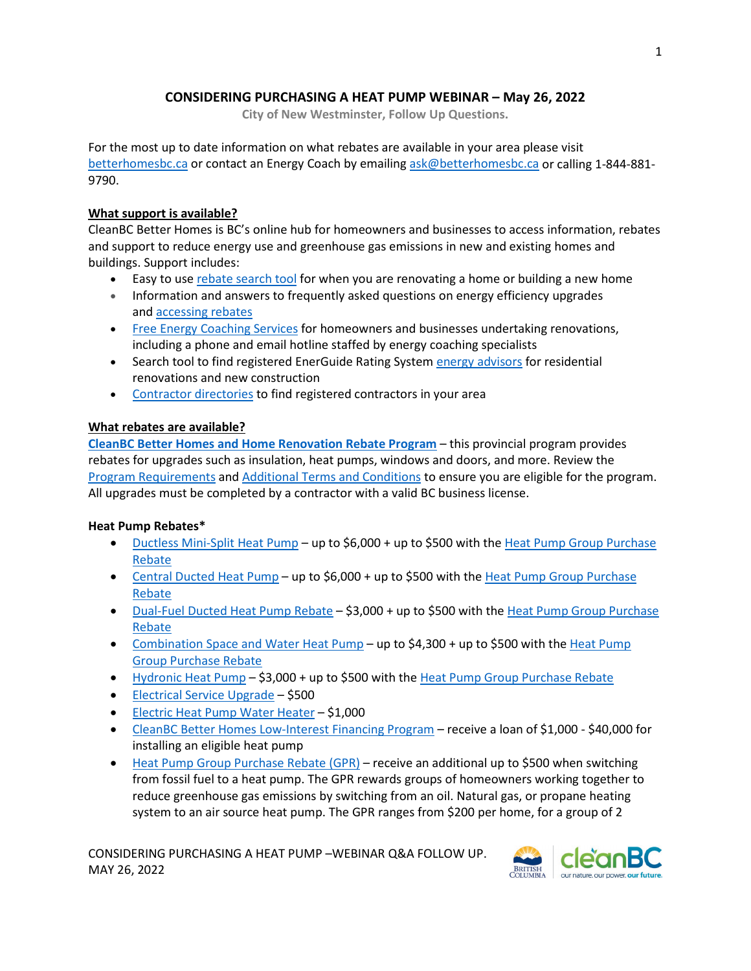# **CONSIDERING PURCHASING A HEAT PUMP WEBINAR – May 26, 2022**

**City of New Westminster, Follow Up Questions.**

For the most up to date information on what rebates are available in your area please visit [betterhomesbc.ca](https://betterhomesbc.ca/) or contact an Energy Coach by emailing [ask@betterhomesbc.ca](mailto:ask@betterhomesbc.ca) or calling 1-844-881- 9790.

# **What support is available?**

CleanBC Better Homes is BC's online hub for homeowners and businesses to access information, rebates and support to reduce energy use and greenhouse gas emissions in new and existing homes and buildings. Support includes:

- Easy to use [rebate search tool](https://betterhomesbc.ca/rebate-search-tool/) for when you are renovating a home or building a new home
- Information and answers to frequently asked questions on energy efficiency upgrades and [accessing rebates](https://betterhomesbc.ca/renovation/faq/)
- [Free Energy Coaching](https://betterhomesbc.ca/connect/) Services for homeowners and businesses undertaking renovations, including a phone and email hotline staffed by energy coaching specialists
- Search tool to find registered EnerGuide Rating System [energy advisors](https://betterhomesbc.ca/ea/) for residential renovations and new construction
- [Contractor directories](https://betterhomesbc.ca/prc/) to find registered contractors in your area

# **What rebates are available?**

**[CleanBC Better Homes and Home Renovation Rebate Program](https://betterhomesbc.ca/rebates/cleanbc-better-homes-and-home-renovation-rebate-programs/)** – this provincial program provides rebates for upgrades such as insulation, heat pumps, windows and doors, and more. Review the [Program Requirements](http://www.betterhomesbc.ca/cbc+hrr_program-requirements) an[d Additional Terms and Conditions](https://betterhomesbc.ca/HRR_current_terms_and_conditions) to ensure you are eligible for the program. All upgrades must be completed by a contractor with a valid BC business license.

### **Heat Pump Rebates\***

- [Ductless Mini-Split Heat Pump –](https://betterhomesbc.ca/rebates/mini-split-air-source-heat-pump/) up to \$6,000 + up to \$500 with the Heat Pump Group Purchase [Rebate](https://betterhomesbc.ca/rebates/gpr/)
- [Central Ducted Heat Pump –](https://betterhomesbc.ca/rebates/central-system-air-source-heat-pump/) up to \$6,000 + up to \$500 with the Heat Pump Group Purchase [Rebate](https://betterhomesbc.ca/rebates/gpr/)
- [Dual-Fuel Ducted Heat Pump Rebate](https://betterhomesbc.ca/rebates/dual-fuel-central-heat-pump-rebate/) \$3,000 + up to \$500 with the Heat Pump Group Purchase [Rebate](https://betterhomesbc.ca/rebates/gpr/)
- [Combination Space and Water Heat Pump](https://betterhomesbc.ca/rebates/combination-space-and-water-heat-pump/)  up to \$4,300 + up to \$500 with the Heat Pump [Group Purchase Rebate](https://betterhomesbc.ca/rebates/gpr/)
- [Hydronic Heat Pump](https://betterhomesbc.ca/rebates/hydronic-heat-pump-rebate/)  \$3,000 + up to \$500 with th[e Heat Pump Group Purchase Rebate](https://betterhomesbc.ca/rebates/gpr/)
- [Electrical Service Upgrade](https://betterhomesbc.ca/rebates/electric-service-upgrade-rebate/) \$500
- [Electric Heat Pump Water Heater](https://betterhomesbc.ca/rebates/electric-heat-pump-water-heater/)  \$1,000
- [CleanBC Better Homes Low-Interest Financing Program](https://betterhomesbc.ca/rebates/financing/)  receive a loan of \$1,000 \$40,000 for installing an eligible heat pump
- [Heat Pump Group Purchase Rebate \(GPR\)](https://betterhomesbc.ca/rebates/gpr/) receive an additional up to \$500 when switching from fossil fuel to a heat pump. The GPR rewards groups of homeowners working together to reduce greenhouse gas emissions by switching from an oil. Natural gas, or propane heating system to an air source heat pump. The GPR ranges from \$200 per home, for a group of 2

CONSIDERING PURCHASING A HEAT PUMP –WEBINAR Q&A FOLLOW UP. MAY 26, 2022

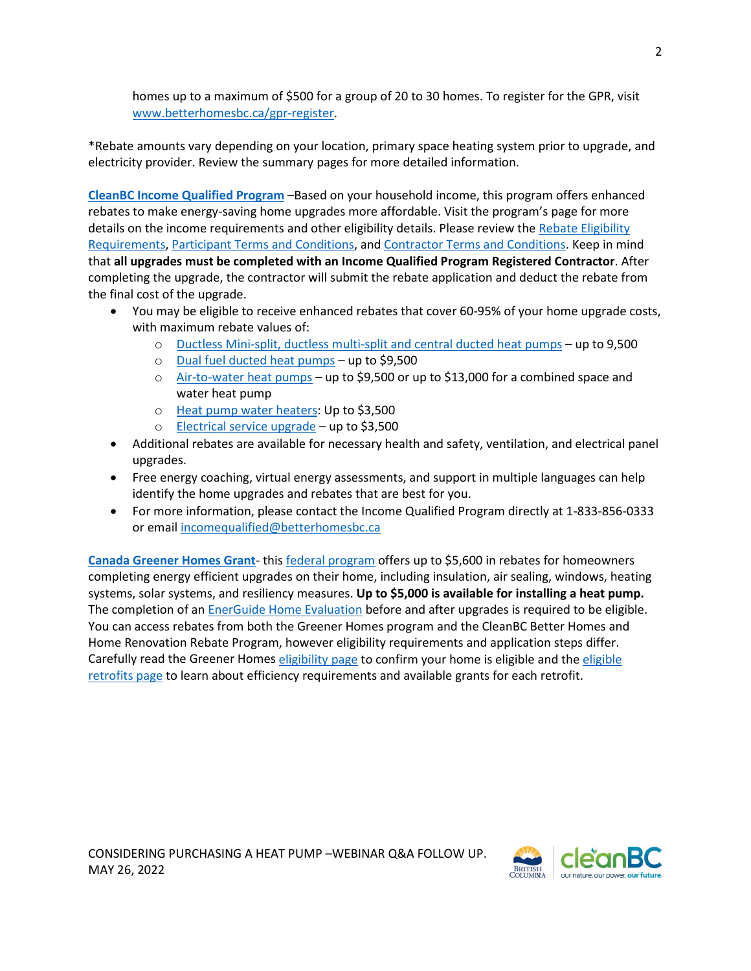homes up to a maximum of \$500 for a group of 20 to 30 homes. To register for the GPR, visit [www.betterhomesbc.ca/gpr-register.](http://www.betterhomesbc.ca/gpr-register)

\*Rebate amounts vary depending on your location, primary space heating system prior to upgrade, and electricity provider. Review the summary pages for more detailed information.

**[CleanBC Income Qualified Program](https://betterhomesbc.ca/rebates/income-qualified/)** –Based on your household income, this program offers enhanced rebates to make energy-saving home upgrades more affordable. Visit the program's page for more details on the income requirements and other eligibility details. Please review the Rebate Eligibility [Requirements,](https://betterhomesbc.ca/income-qualified-requirements) [Participant Terms and Conditions,](https://betterhomesbc.ca/income-qualified-participant-terms) and [Contractor Terms and Conditions.](https://betterhomesbc.ca/income-qualified-contractor-terms) Keep in mind that **all upgrades must be completed with an Income Qualified Program Registered Contractor**. After completing the upgrade, the contractor will submit the rebate application and deduct the rebate from the final cost of the upgrade.

- You may be eligible to receive enhanced rebates that cover 60-95% of your home upgrade costs, with maximum rebate values of:
	- o [Ductless Mini-split, ductless multi-split and central ducted heat pumps](https://betterhomesbc.ca/rebates/cleanbc-income-qualified-heat-pumps/)  up to 9,500
	- o [Dual fuel ducted heat pumps](https://betterhomesbc.ca/rebates/cleanbc-income-qualified-dual-fuel-heat-pump/)  up to \$9,500
	- $\circ$  [Air-to-water heat pumps](https://betterhomesbc.ca/rebates/cleanbc-income-qualified-air-to-water-heat-pump/)  up to \$9,500 or up to \$13,000 for a combined space and water heat pump
	- o [Heat pump water heaters:](https://betterhomesbc.ca/rebates/cleanbc-income-qualified-heat-pump-water-heaters/) Up to \$3,500
	- o [Electrical service upgrade](https://betterhomesbc.ca/rebates/cleanbc-income-qualified-electrical-service-upgrade/)  up to \$3,500
- Additional rebates are available for necessary health and safety, ventilation, and electrical panel upgrades.
- Free energy coaching, virtual energy assessments, and support in multiple languages can help identify the home upgrades and rebates that are best for you.
- For more information, please contact the Income Qualified Program directly at 1-833-856-0333 or email [incomequalified@betterhomesbc.ca](mailto:incomequalified@betterhomesbc.ca)

**[Canada Greener Homes Grant](https://betterhomesbc.ca/rebates/canada-greener-homes-grant/)**- this [federal program](https://www.nrcan.gc.ca/energy-efficiency/homes/canada-greener-homes-grant/23441) offers up to \$5,600 in rebates for homeowners completing energy efficient upgrades on their home, including insulation, air sealing, windows, heating systems, solar systems, and resiliency measures. **Up to \$5,000 is available for installing a heat pump.** The completion of a[n EnerGuide Home Evaluation](https://betterhomesbc.ca/renovation/faq/faqs-categories/?category=energuide-home-evaluations) before and after upgrades is required to be eligible. You can access rebates from both the Greener Homes program and the CleanBC Better Homes and Home Renovation Rebate Program, however eligibility requirements and application steps differ. Carefully read the Greener Homes [eligibility page](https://www.nrcan.gc.ca/energy-efficiency/homes/canada-greener-homes-grant/make-your-home-more-energy-efficient/learn-about-the-initiative/23476) to confirm your home is [eligible](https://www.nrcan.gc.ca/energy-efficiency/homes/canada-greener-homes-grant/make-your-home-more-energy-efficient/plan-document-and-complete-your-home-retrofits/eligible-grants-for-my-home-retrofit/23504) and the eligible [retrofits page](https://www.nrcan.gc.ca/energy-efficiency/homes/canada-greener-homes-grant/make-your-home-more-energy-efficient/plan-document-and-complete-your-home-retrofits/eligible-grants-for-my-home-retrofit/23504) to learn about efficiency requirements and available grants for each retrofit.

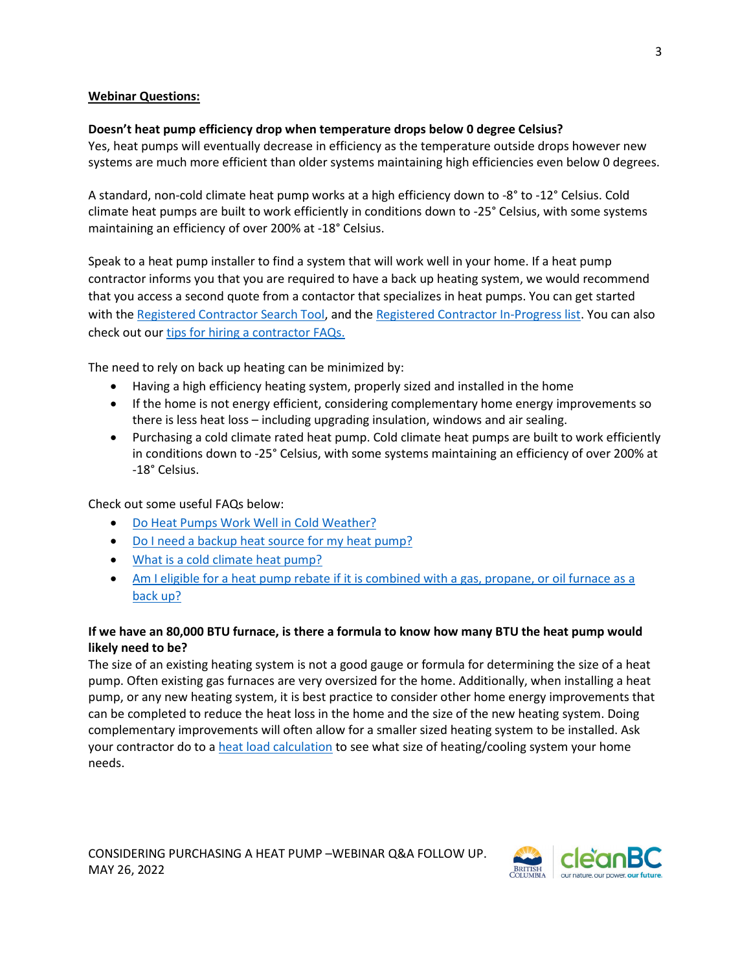### **Webinar Questions:**

#### **Doesn't heat pump efficiency drop when temperature drops below 0 degree Celsius?**

Yes, heat pumps will eventually decrease in efficiency as the temperature outside drops however new systems are much more efficient than older systems maintaining high efficiencies even below 0 degrees.

A standard, non-cold climate heat pump works at a high efficiency down to -8° to -12° Celsius. Cold climate heat pumps are built to work efficiently in conditions down to -25° Celsius, with some systems maintaining an efficiency of over 200% at -18° Celsius.

Speak to a heat pump installer to find a system that will work well in your home. If a heat pump contractor informs you that you are required to have a back up heating system, we would recommend that you access a second quote from a contactor that specializes in heat pumps. You can get started with the [Registered Contractor Search Tool,](https://betterhomesbc.ca/find-a-contractor/) and th[e Registered Contractor In-Progress list.](https://betterhomesbc.ca/registered-contractor/heat-pump-in-progress) You can also check out ou[r tips for hiring a contractor FAQs.](https://betterhomesbc.ca/renovation/faq/faqs-categories/?category=hiring-a-contractor)

The need to rely on back up heating can be minimized by:

- Having a high efficiency heating system, properly sized and installed in the home
- If the home is not energy efficient, considering complementary home energy improvements so there is less heat loss – including upgrading insulation, windows and air sealing.
- Purchasing a cold climate rated heat pump. Cold climate heat pumps are built to work efficiently in conditions down to -25° Celsius, with some systems maintaining an efficiency of over 200% at -18° Celsius.

Check out some useful FAQs below:

- [Do Heat Pumps Work Well in Cold Weather?](https://betterhomesbc.ca/products/do-heat-pumps-work-well-in-cold-weather/)
- [Do I need a backup heat source for my heat pump?](https://betterhomesbc.ca/product_categories/heating-and-cooling-systems/)
- [What is a cold climate heat pump?](https://betterhomesbc.ca/products/what-is-a-cold-climate-heat-pump/)
- Am I eligible for a heat pump rebate if it is combined with a gas, propane, or oil furnace as a [back up?](https://betterhomesbc.ca/faqs/am-i-eligible-for-a-heat-pump-rebate-if-it-is-combined-with-a-gas-propane-or-oil-furnace-as-backup/)

# **If we have an 80,000 BTU furnace, is there a formula to know how many BTU the heat pump would likely need to be?**

The size of an existing heating system is not a good gauge or formula for determining the size of a heat pump. Often existing gas furnaces are very oversized for the home. Additionally, when installing a heat pump, or any new heating system, it is best practice to consider other home energy improvements that can be completed to reduce the heat loss in the home and the size of the new heating system. Doing complementary improvements will often allow for a smaller sized heating system to be installed. Ask your contractor do to a [heat load calculation](https://betterhomesbc.ca/faqs/heat-load-calculations/) to see what size of heating/cooling system your home needs.

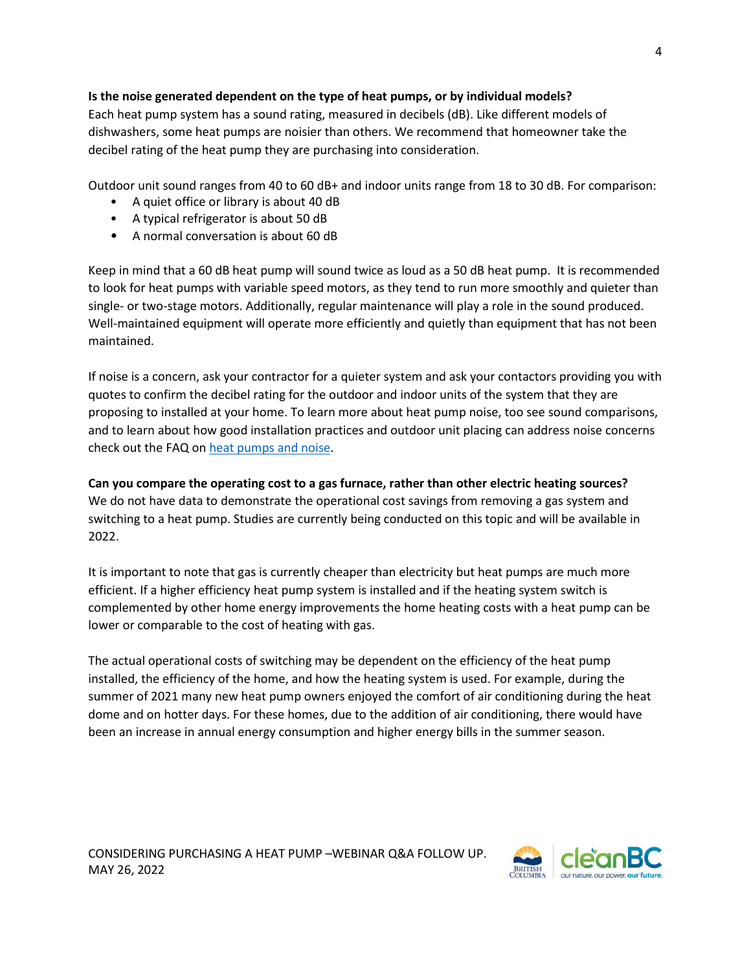### **Is the noise generated dependent on the type of heat pumps, or by individual models?**

Each heat pump system has a sound rating, measured in decibels (dB). Like different models of dishwashers, some heat pumps are noisier than others. We recommend that homeowner take the decibel rating of the heat pump they are purchasing into consideration.

Outdoor unit sound ranges from 40 to 60 dB+ and indoor units range from 18 to 30 dB. For comparison:

- A quiet office or library is about 40 dB
- A typical refrigerator is about 50 dB
- A normal conversation is about 60 dB

Keep in mind that a 60 dB heat pump will sound twice as loud as a 50 dB heat pump. It is recommended to look for heat pumps with variable speed motors, as they tend to run more smoothly and quieter than single- or two-stage motors. Additionally, regular maintenance will play a role in the sound produced. Well-maintained equipment will operate more efficiently and quietly than equipment that has not been maintained.

If noise is a concern, ask your contractor for a quieter system and ask your contactors providing you with quotes to confirm the decibel rating for the outdoor and indoor units of the system that they are proposing to installed at your home. To learn more about heat pump noise, too see sound comparisons, and to learn about how good installation practices and outdoor unit placing can address noise concerns check out the FAQ o[n heat pumps and noise.](https://betterhomesbc.ca/products/are-heat-pumps-loud/)

**Can you compare the operating cost to a gas furnace, rather than other electric heating sources?** We do not have data to demonstrate the operational cost savings from removing a gas system and switching to a heat pump. Studies are currently being conducted on this topic and will be available in 2022.

It is important to note that gas is currently cheaper than electricity but heat pumps are much more efficient. If a higher efficiency heat pump system is installed and if the heating system switch is complemented by other home energy improvements the home heating costs with a heat pump can be lower or comparable to the cost of heating with gas.

The actual operational costs of switching may be dependent on the efficiency of the heat pump installed, the efficiency of the home, and how the heating system is used. For example, during the summer of 2021 many new heat pump owners enjoyed the comfort of air conditioning during the heat dome and on hotter days. For these homes, due to the addition of air conditioning, there would have been an increase in annual energy consumption and higher energy bills in the summer season.

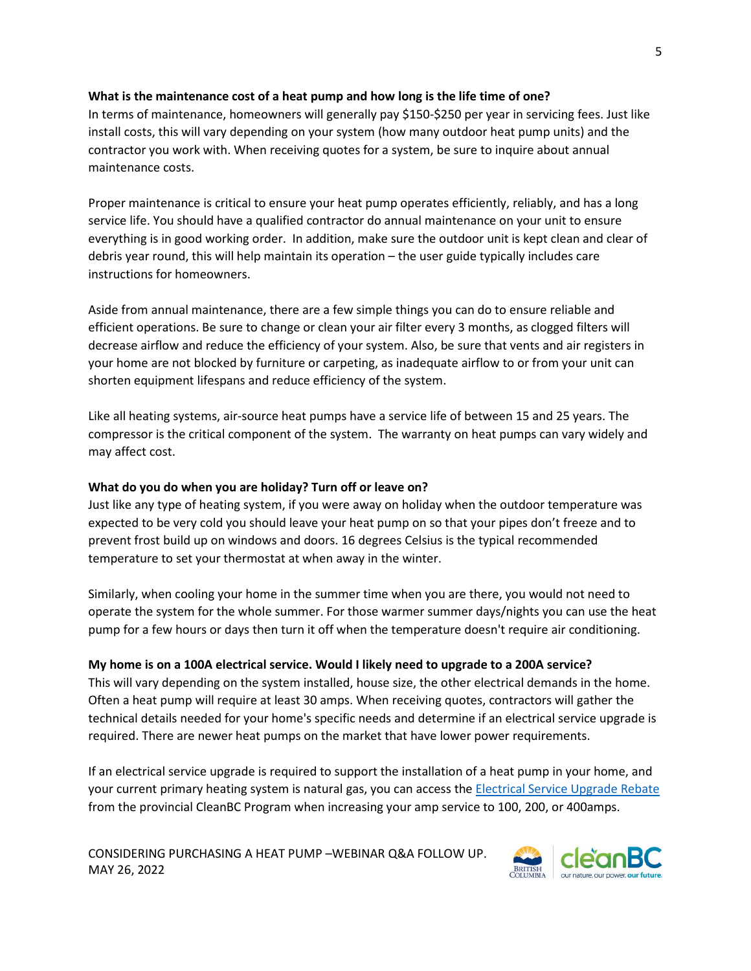#### **What is the maintenance cost of a heat pump and how long is the life time of one?**

In terms of maintenance, homeowners will generally pay \$150-\$250 per year in servicing fees. Just like install costs, this will vary depending on your system (how many outdoor heat pump units) and the contractor you work with. When receiving quotes for a system, be sure to inquire about annual maintenance costs.

Proper maintenance is critical to ensure your heat pump operates efficiently, reliably, and has a long service life. You should have a qualified contractor do annual maintenance on your unit to ensure everything is in good working order. In addition, make sure the outdoor unit is kept clean and clear of debris year round, this will help maintain its operation – the user guide typically includes care instructions for homeowners.

Aside from annual maintenance, there are a few simple things you can do to ensure reliable and efficient operations. Be sure to change or clean your air filter every 3 months, as clogged filters will decrease airflow and reduce the efficiency of your system. Also, be sure that vents and air registers in your home are not blocked by furniture or carpeting, as inadequate airflow to or from your unit can shorten equipment lifespans and reduce efficiency of the system.

Like all heating systems, air-source heat pumps have a service life of between 15 and 25 years. The compressor is the critical component of the system. The warranty on heat pumps can vary widely and may affect cost.

#### **What do you do when you are holiday? Turn off or leave on?**

Just like any type of heating system, if you were away on holiday when the outdoor temperature was expected to be very cold you should leave your heat pump on so that your pipes don't freeze and to prevent frost build up on windows and doors. 16 degrees Celsius is the typical recommended temperature to set your thermostat at when away in the winter.

Similarly, when cooling your home in the summer time when you are there, you would not need to operate the system for the whole summer. For those warmer summer days/nights you can use the heat pump for a few hours or days then turn it off when the temperature doesn't require air conditioning.

### **My home is on a 100A electrical service. Would I likely need to upgrade to a 200A service?**

This will vary depending on the system installed, house size, the other electrical demands in the home. Often a heat pump will require at least 30 amps. When receiving quotes, contractors will gather the technical details needed for your home's specific needs and determine if an electrical service upgrade is required. There are newer heat pumps on the market that have lower power requirements.

If an electrical service upgrade is required to support the installation of a heat pump in your home, and your current primary heating system is natural gas, you can access the [Electrical Service Upgrade Rebate](https://betterhomesbc.ca/rebates/electric-service-upgrade-rebate/) from the provincial CleanBC Program when increasing your amp service to 100, 200, or 400amps.

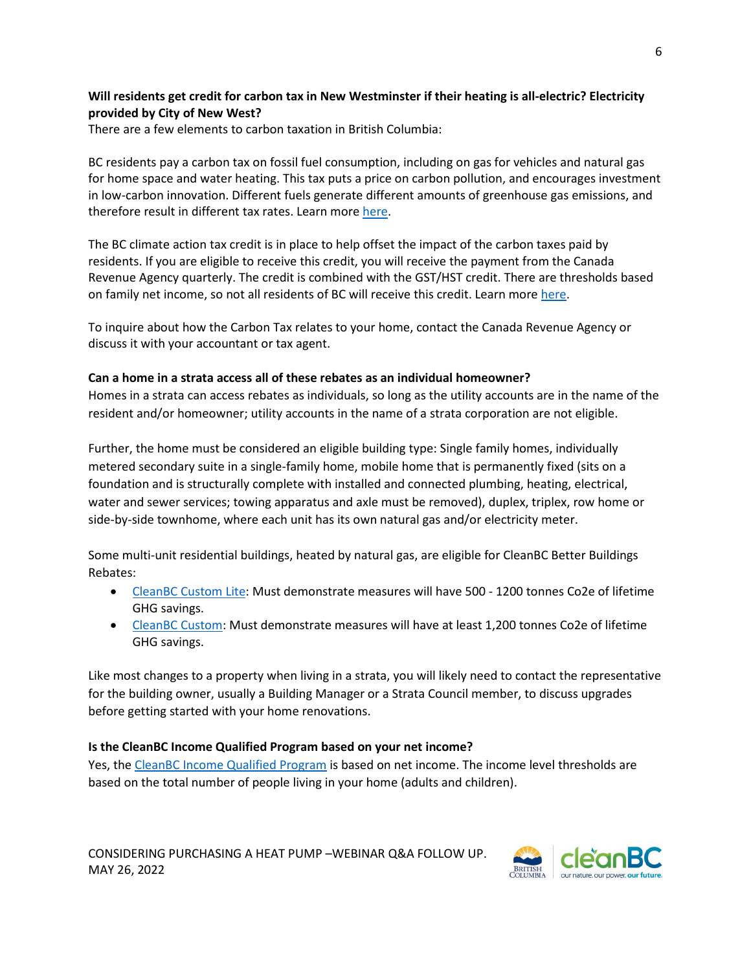# **Will residents get credit for carbon tax in New Westminster if their heating is all-electric? Electricity provided by City of New West?**

There are a few elements to carbon taxation in British Columbia:

BC residents pay a carbon tax on fossil fuel consumption, including on gas for vehicles and natural gas for home space and water heating. This tax puts a price on carbon pollution, and encourages investment in low-carbon innovation. Different fuels generate different amounts of greenhouse gas emissions, and therefore result in different tax rates. Learn mor[e here.](https://www2.gov.bc.ca/gov/content/environment/climate-change/clean-economy/carbon-tax)

The BC climate action tax credit is in place to help offset the impact of the carbon taxes paid by residents. If you are eligible to receive this credit, you will receive the payment from the Canada Revenue Agency quarterly. The credit is combined with the GST/HST credit. There are thresholds based on family net income, so not all residents of BC will receive this credit. Learn more [here.](https://www2.gov.bc.ca/gov/content/taxes/income-taxes/personal/credits/climate-action)

To inquire about how the Carbon Tax relates to your home, contact the Canada Revenue Agency or discuss it with your accountant or tax agent.

#### **Can a home in a strata access all of these rebates as an individual homeowner?**

Homes in a strata can access rebates as individuals, so long as the utility accounts are in the name of the resident and/or homeowner; utility accounts in the name of a strata corporation are not eligible.

Further, the home must be considered an eligible building type: Single family homes, individually metered secondary suite in a single-family home, mobile home that is permanently fixed (sits on a foundation and is structurally complete with installed and connected plumbing, heating, electrical, water and sewer services; towing apparatus and axle must be removed), duplex, triplex, row home or side-by-side townhome, where each unit has its own natural gas and/or electricity meter.

Some multi-unit residential buildings, heated by natural gas, are eligible for CleanBC Better Buildings Rebates:

- [CleanBC Custom Lite:](https://betterbuildingsbc.ca/incentives/cleanbc-custom-lite-program/) Must demonstrate measures will have 500 1200 tonnes Co2e of lifetime GHG savings.
- [CleanBC Custom:](https://betterbuildingsbc.ca/incentives/cleanbc-custom-program/) Must demonstrate measures will have at least 1,200 tonnes Co2e of lifetime GHG savings.

Like most changes to a property when living in a strata, you will likely need to contact the representative for the building owner, usually a Building Manager or a Strata Council member, to discuss upgrades before getting started with your home renovations.

### **Is the CleanBC Income Qualified Program based on your net income?**

Yes, the [CleanBC Income Qualified Program](https://betterhomesbc.ca/rebates/income-qualified) is based on net income. The income level thresholds are based on the total number of people living in your home (adults and children).